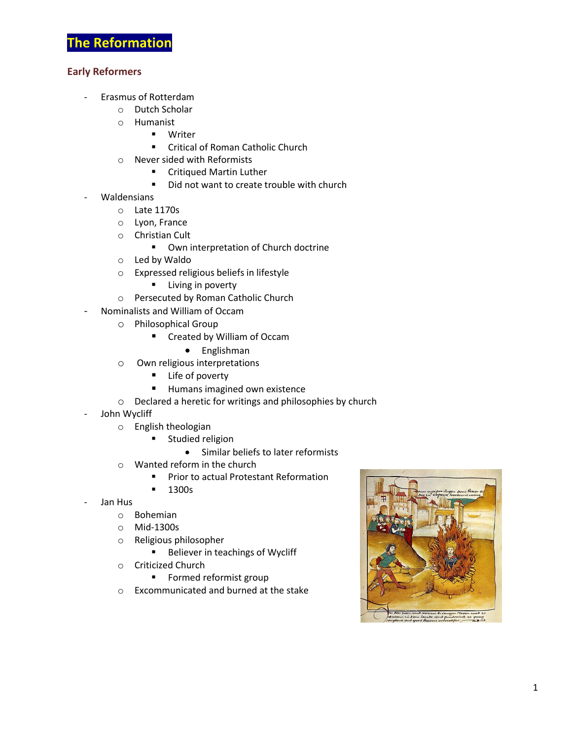## **Early Reformers**

- Erasmus of Rotterdam
	- o Dutch Scholar
	- o Humanist
		- **■** Writer
		- Critical of Roman Catholic Church
	- o Never sided with Reformists
		- Critiqued Martin Luther
		- Did not want to create trouble with church
- Waldensians
	- o Late 1170s
	- o Lyon, France
	- o Christian Cult
		- Own interpretation of Church doctrine
	- o Led by Waldo
	- o Expressed religious beliefs in lifestyle
		- **E** Living in poverty
	- o Persecuted by Roman Catholic Church
- Nominalists and William of Occam
	- o Philosophical Group
		- Created by William of Occam
			- Englishman
	- o Own religious interpretations
		- **Life of poverty**
		- **Humans imagined own existence**
	- o Declared a heretic for writings and philosophies by church
- John Wycliff
	- o English theologian
		- **E** Studied religion
			- Similar beliefs to later reformists
	- o Wanted reform in the church
		- **Prior to actual Protestant Reformation**
		- **1300s**
- Jan Hus
	- o Bohemian
	- o Mid-1300s
	- o Religious philosopher
		- **Believer in teachings of Wycliff**
	- o Criticized Church
		- **Formed reformist group**
	- o Excommunicated and burned at the stake

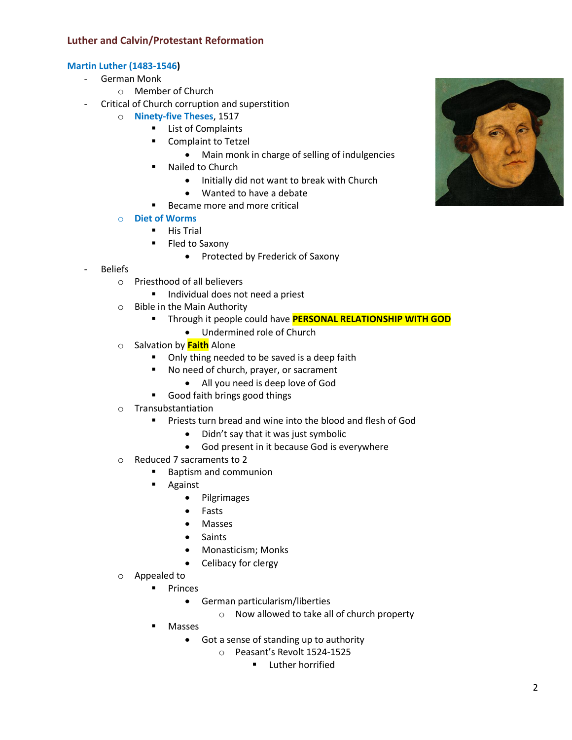## **Luther and Calvin/Protestant Reformation**

## **Martin Luther (1483-1546)**

- German Monk
	- o Member of Church
	- Critical of Church corruption and superstition
		- o **Ninety-five Theses**, 1517
			- **List of Complaints**
			- **Complaint to Tetzel** 
				- Main monk in charge of selling of indulgencies
			- **Nailed to Church** 
				- Initially did not want to break with Church
				- Wanted to have a debate
			- Became more and more critical
		- o **Diet of Worms**
			- $H$ is Trial
				- **Fled to Saxony** 
					- Protected by Frederick of Saxony
- Beliefs
	- o Priesthood of all believers
		- **Individual does not need a priest**
	- o Bible in the Main Authority
		- **Through it people could have PERSONAL RELATIONSHIP WITH GOD** 
			- Undermined role of Church
	- o Salvation by **Faith** Alone
		- Only thing needed to be saved is a deep faith
		- No need of church, prayer, or sacrament
			- All you need is deep love of God
		- Good faith brings good things
	- o Transubstantiation
		- Priests turn bread and wine into the blood and flesh of God
			- Didn't say that it was just symbolic
			- God present in it because God is everywhere
	- o Reduced 7 sacraments to 2
		- Baptism and communion
		- **Against** 
			- Pilgrimages
			- Fasts
			- Masses
			- Saints
			- Monasticism; Monks
			- Celibacy for clergy
	- o Appealed to
		- **Princes** 
			- German particularism/liberties
				- o Now allowed to take all of church property
		- Masses
			- Got a sense of standing up to authority
				- o Peasant's Revolt 1524-1525
					- **E** Luther horrified